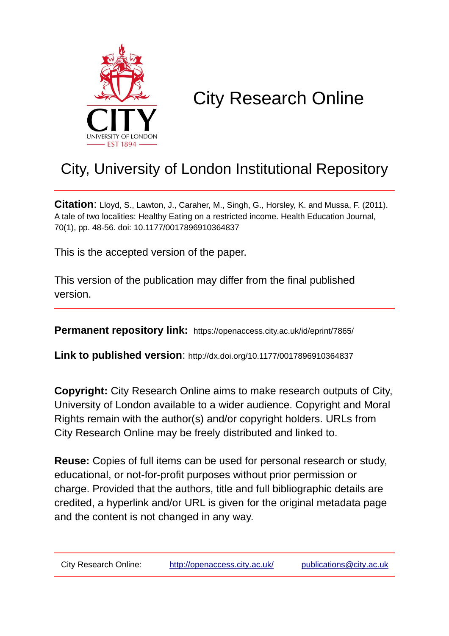

# City Research Online

## City, University of London Institutional Repository

**Citation**: Lloyd, S., Lawton, J., Caraher, M., Singh, G., Horsley, K. and Mussa, F. (2011). A tale of two localities: Healthy Eating on a restricted income. Health Education Journal, 70(1), pp. 48-56. doi: 10.1177/0017896910364837

This is the accepted version of the paper.

This version of the publication may differ from the final published version.

**Permanent repository link:** https://openaccess.city.ac.uk/id/eprint/7865/

**Link to published version**: http://dx.doi.org/10.1177/0017896910364837

**Copyright:** City Research Online aims to make research outputs of City, University of London available to a wider audience. Copyright and Moral Rights remain with the author(s) and/or copyright holders. URLs from City Research Online may be freely distributed and linked to.

**Reuse:** Copies of full items can be used for personal research or study, educational, or not-for-profit purposes without prior permission or charge. Provided that the authors, title and full bibliographic details are credited, a hyperlink and/or URL is given for the original metadata page and the content is not changed in any way.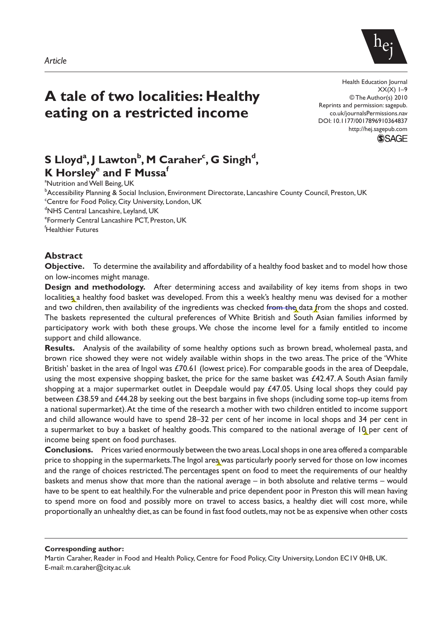

### **A tale of two localities: Healthy eating on a restricted income**

Health Education Journal  $XX(X)$   $I-9$ © The Author(s) 2010 Reprints and permission: sagepub. co.uk/journalsPermissions.nav DOI: 10.1177/0017896910364837 http://hej.sagepub.com **SSAGE** 

### **S** Lloyd<sup>a</sup>, J Lawton<sup>b</sup>, M Caraher<sup>c</sup>, G Singh<sup>d</sup>, **K** Horsley<sup>e</sup> and F Mussa<sup>f</sup>

<sup>a</sup>Nutrition and Well Being, UK <sup>b</sup>Accessibility Planning & Social Inclusion, Environment Directorate, Lancashire County Council, Preston, UK <sup>c</sup>Centre for Food Policy, City University, London, UK d NHS Central Lancashire, Leyland, UK e Formerly Central Lancashire PCT, Preston, UK f Healthier Futures

#### **Abstract**

**Objective.**To determine the availability and affordability of a healthy food basket and to model how those on low-incomes might manage.

**Design and methodology.**After determining access and availability of key items from shops in two localities a healthy food basket was developed. From this a week's healthy menu was devised for a mother and two children, then availability of the ingredients was checked from the data from the shops and costed. The baskets represented the cultural preferences of White British and South Asian families informed by participatory work with both these groups. We chose the income level for a family entitled to income support and child allowance.

**Results.**Analysis of the availability of some healthy options such as brown bread, wholemeal pasta, and brown rice showed they were not widely available within shops in the two areas. The price of the 'White British' basket in the area of Ingol was £70.61 (lowest price). For comparable goods in the area of Deepdale, using the most expensive shopping basket, the price for the same basket was  $£42.47$ . A South Asian family shopping at a major supermarket outlet in Deepdale would pay £47.05. Using local shops they could pay between £38.59 and £44.28 by seeking out the best bargains in five shops (including some top-up items from a national supermarket). At the time of the research a mother with two children entitled to income support and child allowance would have to spend 28–32 per cent of her income in local shops and 34 per cent in a supermarket to buy a basket of healthy goods. This compared to the national average of 10 per cent of income being spent on food purchases.

**Conclusions.**Prices varied enormously between the two areas. Local shops in one area offered a comparable price to shopping in the supermarkets. The Ingol area was particularly poorly served for those on low incomes and the range of choices restricted. The percentages spent on food to meet the requirements of our healthy baskets and menus show that more than the national average – in both absolute and relative terms – would have to be spent to eat healthily. For the vulnerable and price dependent poor in Preston this will mean having to spend more on food and possibly more on travel to access basics, a healthy diet will cost more, while proportionally an unhealthy diet, as can be found in fast food outlets, may not be as expensive when other costs

#### **Corresponding author:**

Martin Caraher, Reader in Food and Health Policy, Centre for Food Policy, City University, London EC1V 0HB, UK. E-mail: m.caraher@city.ac.uk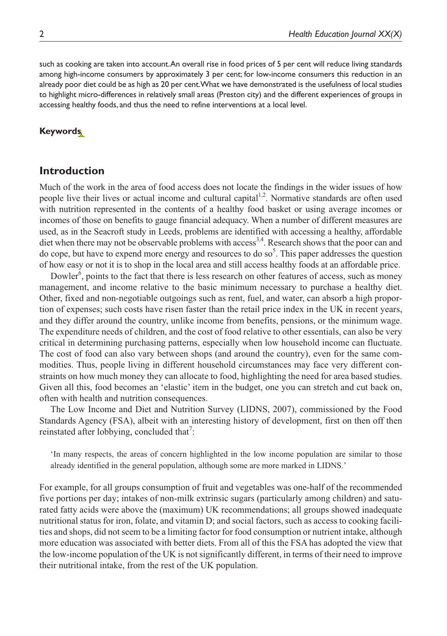such as cooking are taken into account. An overall rise in food prices of 5 per cent will reduce living standards among high-income consumers by approximately 3 per cent; for low-income consumers this reduction in an already poor diet could be as high as 20 per cent. What we have demonstrated is the usefulness of local studies to highlight micro-differences in relatively small areas (Preston city) and the different experiences of groups in accessing healthy foods, and thus the need to refine interventions at a local level.

#### **Keywords**

#### **Introduction**

Much of the work in the area of food access does not locate the findings in the wider issues of how people live their lives or actual income and cultural capital $1^{1,2}$ . Normative standards are often used with nutrition represented in the contents of a healthy food basket or using average incomes or incomes of those on benefits to gauge financial adequacy. When a number of different measures are used, as in the Seacroft study in Leeds, problems are identified with accessing a healthy, affordable diet when there may not be observable problems with access<sup>3,4</sup>. Research shows that the poor can and do cope, but have to expend more energy and resources to do so<sup>5</sup>. This paper addresses the question of how easy or not it is to shop in the local area and still access healthy foods at an affordable price.

Dowler<sup> $\dot{6}$ </sup>, points to the fact that there is less research on other features of access, such as money management, and income relative to the basic minimum necessary to purchase a healthy diet. Other, fixed and non-negotiable outgoings such as rent, fuel, and water, can absorb a high proportion of expenses; such costs have risen faster than the retail price index in the UK in recent years, and they differ around the country, unlike income from benefits, pensions, or the minimum wage. The expenditure needs of children, and the cost of food relative to other essentials, can also be very critical in determining purchasing patterns, especially when low household income can fluctuate. The cost of food can also vary between shops (and around the country), even for the same commodities. Thus, people living in different household circumstances may face very different constraints on how much money they can allocate to food, highlighting the need for area based studies. Given all this, food becomes an 'elastic' item in the budget, one you can stretch and cut back on, often with health and nutrition consequences.

The Low Income and Diet and Nutrition Survey (LIDNS, 2007), commissioned by the Food Standards Agency (FSA), albeit with an interesting history of development, first on then off then reinstated after lobbying, concluded that<sup>7</sup>:

'In many respects, the areas of concern highlighted in the low income population are similar to those already identified in the general population, although some are more marked in LIDNS.'

For example, for all groups consumption of fruit and vegetables was one-half of the recommended five portions per day; intakes of non-milk extrinsic sugars (particularly among children) and saturated fatty acids were above the (maximum) UK recommendations; all groups showed inadequate nutritional status for iron, folate, and vitamin D; and social factors, such as access to cooking facilities and shops, did not seem to be a limiting factor for food consumption or nutrient intake, although more education was associated with better diets. From all of this the FSA has adopted the view that the low-income population of the UK is not significantly different, in terms of their need to improve their nutritional intake, from the rest of the UK population.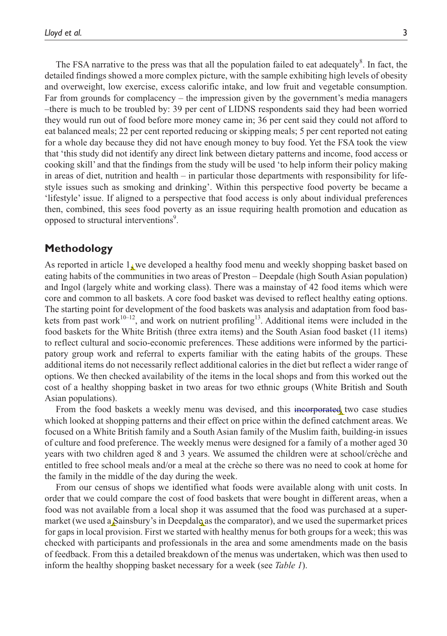The FSA narrative to the press was that all the population failed to eat adequately $\delta$ . In fact, the detailed findings showed a more complex picture, with the sample exhibiting high levels of obesity and overweight, low exercise, excess calorific intake, and low fruit and vegetable consumption. Far from grounds for complacency – the impression given by the government's media managers –there is much to be troubled by: 39 per cent of LIDNS respondents said they had been worried they would run out of food before more money came in; 36 per cent said they could not afford to eat balanced meals; 22 per cent reported reducing or skipping meals; 5 per cent reported not eating for a whole day because they did not have enough money to buy food. Yet the FSA took the view that 'this study did not identify any direct link between dietary patterns and income, food access or cooking skill' and that the findings from the study will be used 'to help inform their policy making in areas of diet, nutrition and health – in particular those departments with responsibility for lifestyle issues such as smoking and drinking'. Within this perspective food poverty be became a 'lifestyle' issue. If aligned to a perspective that food access is only about individual preferences then, combined, this sees food poverty as an issue requiring health promotion and education as opposed to structural interventions<sup>9</sup>.

#### **Methodology**

As reported in article 1, we developed a healthy food menu and weekly shopping basket based on eating habits of the communities in two areas of Preston – Deepdale (high South Asian population) and Ingol (largely white and working class). There was a mainstay of 42 food items which were core and common to all baskets. A core food basket was devised to reflect healthy eating options. The starting point for development of the food baskets was analysis and adaptation from food baskets from past work<sup>10–12</sup>, and work on nutrient profiling<sup>13</sup>. Additional items were included in the food baskets for the White British (three extra items) and the South Asian food basket (11 items) to reflect cultural and socio-economic preferences. These additions were informed by the participatory group work and referral to experts familiar with the eating habits of the groups. These additional items do not necessarily reflect additional calories in the diet but reflect a wider range of options. We then checked availability of the items in the local shops and from this worked out the cost of a healthy shopping basket in two areas for two ethnic groups (White British and South Asian populations).

From the food baskets a weekly menu was devised, and this incorporated two case studies which looked at shopping patterns and their effect on price within the defined catchment areas. We focused on a White British family and a South Asian family of the Muslim faith, building-in issues of culture and food preference. The weekly menus were designed for a family of a mother aged 30 years with two children aged 8 and 3 years. We assumed the children were at school/crèche and entitled to free school meals and/or a meal at the crèche so there was no need to cook at home for the family in the middle of the day during the week.

From our census of shops we identified what foods were available along with unit costs. In order that we could compare the cost of food baskets that were bought in different areas, when a food was not available from a local shop it was assumed that the food was purchased at a supermarket (we used a Sainsbury's in Deepdale as the comparator), and we used the supermarket prices for gaps in local provision. First we started with healthy menus for both groups for a week; this was checked with participants and professionals in the area and some amendments made on the basis of feedback. From this a detailed breakdown of the menus was undertaken, which was then used to inform the healthy shopping basket necessary for a week (see *Table 1*).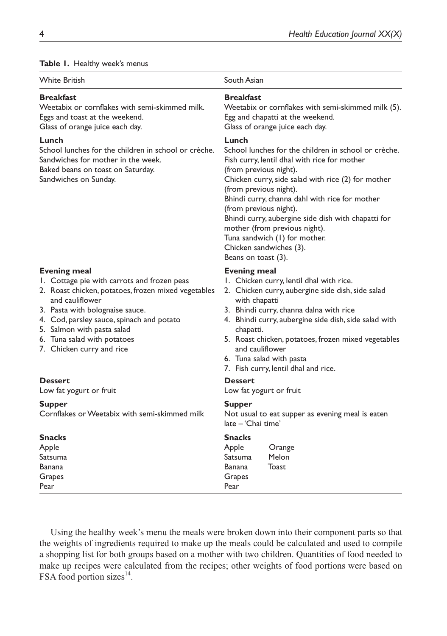|  |  | Table 1. Healthy week's menus |  |  |
|--|--|-------------------------------|--|--|
|--|--|-------------------------------|--|--|

| <b>White British</b>                                                                                                                                                                                                                                                                                                   | South Asian                                                                                                                                                                                                                                                                                                                                                                                                                                                                                                                                                                                                                     |  |  |  |
|------------------------------------------------------------------------------------------------------------------------------------------------------------------------------------------------------------------------------------------------------------------------------------------------------------------------|---------------------------------------------------------------------------------------------------------------------------------------------------------------------------------------------------------------------------------------------------------------------------------------------------------------------------------------------------------------------------------------------------------------------------------------------------------------------------------------------------------------------------------------------------------------------------------------------------------------------------------|--|--|--|
| <b>Breakfast</b><br>Weetabix or cornflakes with semi-skimmed milk.<br>Eggs and toast at the weekend.<br>Glass of orange juice each day.                                                                                                                                                                                | <b>Breakfast</b><br>Weetabix or cornflakes with semi-skimmed milk (5).<br>Egg and chapatti at the weekend.<br>Glass of orange juice each day.<br>Lunch<br>School lunches for the children in school or crèche.<br>Fish curry, lentil dhal with rice for mother<br>(from previous night).<br>Chicken curry, side salad with rice (2) for mother<br>(from previous night).<br>Bhindi curry, channa dahl with rice for mother<br>(from previous night).<br>Bhindi curry, aubergine side dish with chapatti for<br>mother (from previous night).<br>Tuna sandwich (1) for mother.<br>Chicken sandwiches (3).<br>Beans on toast (3). |  |  |  |
| Lunch<br>School lunches for the children in school or crèche.<br>Sandwiches for mother in the week.<br>Baked beans on toast on Saturday.<br>Sandwiches on Sunday.                                                                                                                                                      |                                                                                                                                                                                                                                                                                                                                                                                                                                                                                                                                                                                                                                 |  |  |  |
| <b>Evening meal</b><br>I. Cottage pie with carrots and frozen peas<br>2. Roast chicken, potatoes, frozen mixed vegetables<br>and cauliflower<br>3. Pasta with bolognaise sauce.<br>4. Cod, parsley sauce, spinach and potato<br>5. Salmon with pasta salad<br>6. Tuna salad with potatoes<br>7. Chicken curry and rice | <b>Evening meal</b><br>1. Chicken curry, lentil dhal with rice.<br>2. Chicken curry, aubergine side dish, side salad<br>with chapatti<br>3. Bhindi curry, channa dalna with rice<br>4. Bhindi curry, aubergine side dish, side salad with<br>chapatti.<br>5. Roast chicken, potatoes, frozen mixed vegetables<br>and cauliflower<br>6. Tuna salad with pasta<br>7. Fish curry, lentil dhal and rice.                                                                                                                                                                                                                            |  |  |  |
| <b>Dessert</b><br>Low fat yogurt or fruit                                                                                                                                                                                                                                                                              | <b>Dessert</b><br>Low fat yogurt or fruit                                                                                                                                                                                                                                                                                                                                                                                                                                                                                                                                                                                       |  |  |  |
| <b>Supper</b><br>Cornflakes or Weetabix with semi-skimmed milk                                                                                                                                                                                                                                                         | <b>Supper</b><br>Not usual to eat supper as evening meal is eaten<br>late - 'Chai time'                                                                                                                                                                                                                                                                                                                                                                                                                                                                                                                                         |  |  |  |
| <b>Snacks</b><br>Apple<br>Satsuma<br>Banana<br>Grapes<br>Pear                                                                                                                                                                                                                                                          | <b>Snacks</b><br>Apple<br>Orange<br>Melon<br>Satsuma<br>Toast<br>Banana<br>Grapes<br>Pear                                                                                                                                                                                                                                                                                                                                                                                                                                                                                                                                       |  |  |  |

Using the healthy week's menu the meals were broken down into their component parts so that the weights of ingredients required to make up the meals could be calculated and used to compile a shopping list for both groups based on a mother with two children. Quantities of food needed to make up recipes were calculated from the recipes; other weights of food portions were based on FSA food portion sizes $^{14}$ .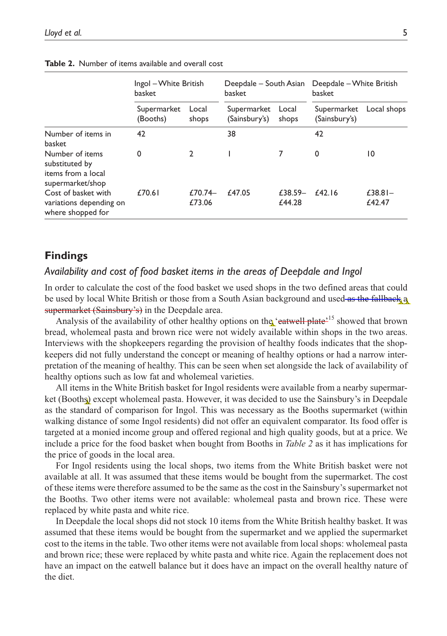|                                                                             | Ingol – White British<br>basket |                      | Deepdale - South Asian<br>basket |                   | Deepdale – White British<br>basket |                   |
|-----------------------------------------------------------------------------|---------------------------------|----------------------|----------------------------------|-------------------|------------------------------------|-------------------|
|                                                                             | Supermarket<br>(Booths)         | Local<br>shops       | Supermarket<br>(Sainsbury's)     | Local<br>shops    | Supermarket<br>(Sainsbury's)       | Local shops       |
| Number of items in<br>basket                                                | 42                              |                      | 38                               |                   | 42                                 |                   |
| Number of items<br>substituted by<br>items from a local<br>supermarket/shop | 0                               | 2                    |                                  | 7                 | 0                                  | 10                |
| Cost of basket with<br>variations depending on<br>where shopped for         | £70.61                          | £70.74 $-$<br>£73.06 | £47.05                           | £38.59-<br>£44.28 | f42.16                             | £38.81-<br>£42.47 |

**Table 2.** Number of items available and overall cost

#### **Findings**

#### *Availability and cost of food basket items in the areas of Deepdale and Ingol*

In order to calculate the cost of the food basket we used shops in the two defined areas that could be used by local White British or those from a South Asian background and used as the fallback a supermarket (Sainsbury's) in the Deepdale area.

Analysis of the availability of other healthy options on the 'eatwell plate<sup> $2^{15}$ </sup> showed that brown bread, wholemeal pasta and brown rice were not widely available within shops in the two areas. Interviews with the shopkeepers regarding the provision of healthy foods indicates that the shopkeepers did not fully understand the concept or meaning of healthy options or had a narrow interpretation of the meaning of healthy. This can be seen when set alongside the lack of availability of healthy options such as low fat and wholemeal varieties.

All items in the White British basket for Ingol residents were available from a nearby supermarket (Booths) except wholemeal pasta. However, it was decided to use the Sainsbury's in Deepdale as the standard of comparison for Ingol. This was necessary as the Booths supermarket (within walking distance of some Ingol residents) did not offer an equivalent comparator. Its food offer is targeted at a monied income group and offered regional and high quality goods, but at a price. We include a price for the food basket when bought from Booths in *Table 2* as it has implications for the price of goods in the local area.

For Ingol residents using the local shops, two items from the White British basket were not available at all. It was assumed that these items would be bought from the supermarket. The cost of these items were therefore assumed to be the same as the cost in the Sainsbury's supermarket not the Booths. Two other items were not available: wholemeal pasta and brown rice. These were replaced by white pasta and white rice.

In Deepdale the local shops did not stock 10 items from the White British healthy basket. It was assumed that these items would be bought from the supermarket and we applied the supermarket cost to the items in the table. Two other items were not available from local shops: wholemeal pasta and brown rice; these were replaced by white pasta and white rice. Again the replacement does not have an impact on the eatwell balance but it does have an impact on the overall healthy nature of the diet.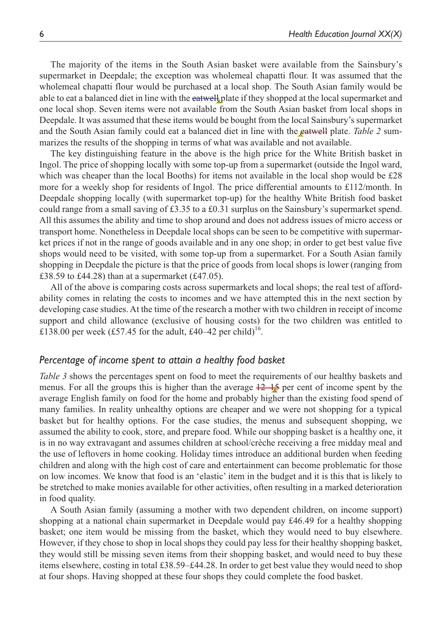The majority of the items in the South Asian basket were available from the Sainsbury's supermarket in Deepdale; the exception was wholemeal chapatti flour. It was assumed that the wholemeal chapatti flour would be purchased at a local shop. The South Asian family would be able to eat a balanced diet in line with the eatwell plate if they shopped at the local supermarket and one local shop. Seven items were not available from the South Asian basket from local shops in Deepdale. It was assumed that these items would be bought from the local Sainsbury's supermarket and the South Asian family could eat a balanced diet in line with the eatwell plate. *Table 2* summarizes the results of the shopping in terms of what was available and not available.

The key distinguishing feature in the above is the high price for the White British basket in Ingol. The price of shopping locally with some top-up from a supermarket (outside the Ingol ward, which was cheaper than the local Booths) for items not available in the local shop would be £28 more for a weekly shop for residents of Ingol. The price differential amounts to £112/month. In Deepdale shopping locally (with supermarket top-up) for the healthy White British food basket could range from a small saving of £3.35 to a £0.31 surplus on the Sainsbury's supermarket spend. All this assumes the ability and time to shop around and does not address issues of micro access or transport home. Nonetheless in Deepdale local shops can be seen to be competitive with supermarket prices if not in the range of goods available and in any one shop; in order to get best value five shops would need to be visited, with some top-up from a supermarket. For a South Asian family shopping in Deepdale the picture is that the price of goods from local shops is lower (ranging from £38.59 to £44.28) than at a supermarket  $(£47.05)$ .

All of the above is comparing costs across supermarkets and local shops; the real test of affordability comes in relating the costs to incomes and we have attempted this in the next section by developing case studies. At the time of the research a mother with two children in receipt of income support and child allowance (exclusive of housing costs) for the two children was entitled to £138.00 per week (£57.45 for the adult, £40–42 per child)<sup>16</sup>.

#### *Percentage of income spent to attain a healthy food basket*

*Table 3* shows the percentages spent on food to meet the requirements of our healthy baskets and menus. For all the groups this is higher than the average  $\frac{12}{15}$  per cent of income spent by the average English family on food for the home and probably higher than the existing food spend of many families. In reality unhealthy options are cheaper and we were not shopping for a typical basket but for healthy options. For the case studies, the menus and subsequent shopping, we assumed the ability to cook, store, and prepare food. While our shopping basket is a healthy one, it is in no way extravagant and assumes children at school/crèche receiving a free midday meal and the use of leftovers in home cooking. Holiday times introduce an additional burden when feeding children and along with the high cost of care and entertainment can become problematic for those on low incomes. We know that food is an 'elastic' item in the budget and it is this that is likely to be stretched to make monies available for other activities, often resulting in a marked deterioration in food quality.

A South Asian family (assuming a mother with two dependent children, on income support) shopping at a national chain supermarket in Deepdale would pay £46.49 for a healthy shopping basket; one item would be missing from the basket, which they would need to buy elsewhere. However, if they chose to shop in local shops they could pay less for their healthy shopping basket, they would still be missing seven items from their shopping basket, and would need to buy these items elsewhere, costing in total £38.59–£44.28. In order to get best value they would need to shop at four shops. Having shopped at these four shops they could complete the food basket.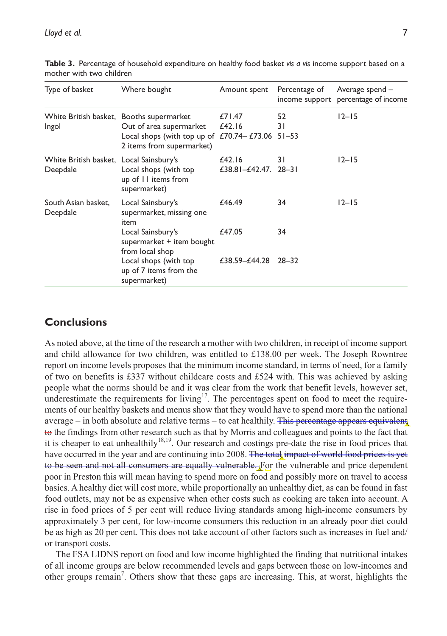| Type of basket                                      | Where bought                                                                                            | Amount spent                   | Percentage of | Average spend $-$<br>income support percentage of income |
|-----------------------------------------------------|---------------------------------------------------------------------------------------------------------|--------------------------------|---------------|----------------------------------------------------------|
| White British basket, Booths supermarket<br>Ingol   | Out of area supermarket<br>Local shops (with top up of £70.74-£73.06 51-53<br>2 items from supermarket) | £71.47<br>£42.16               | 52<br>31      | $12 - 15$                                                |
| White British basket, Local Sainsbury's<br>Deepdale | Local shops (with top<br>up of 11 items from<br>supermarket)                                            | £42.16<br>£38.81-£42.47. 28-31 | 31            | $12 - 15$                                                |
| South Asian basket,<br>Deepdale                     | Local Sainsbury's<br>supermarket, missing one<br>item                                                   | £46.49                         | 34            | $12 - 15$                                                |
|                                                     | Local Sainsbury's<br>supermarket + item bought<br>from local shop                                       | £47.05                         | 34            |                                                          |
|                                                     | Local shops (with top<br>up of 7 items from the<br>supermarket)                                         | £38.59-£44.28 28-32            |               |                                                          |

**Table 3.** Percentage of household expenditure on healthy food basket *vis a vis* income support based on a mother with two children

#### **Conclusions**

As noted above, at the time of the research a mother with two children, in receipt of income support and child allowance for two children, was entitled to £138.00 per week. The Joseph Rowntree report on income levels proposes that the minimum income standard, in terms of need, for a family of two on benefits is £337 without childcare costs and £524 with. This was achieved by asking people what the norms should be and it was clear from the work that benefit levels, however set, underestimate the requirements for living<sup>17</sup>. The percentages spent on food to meet the requirements of our healthy baskets and menus show that they would have to spend more than the national average – in both absolute and relative terms – to eat healthily. This percentage appears equivalent to the findings from other research such as that by Morris and colleagues and points to the fact that it is cheaper to eat unhealthily<sup>18,19</sup>. Our research and costings pre-date the rise in food prices that have occurred in the year and are continuing into 2008. The total impact of world food prices is yet to be seen and not all consumers are equally vulnerable. For the vulnerable and price dependent poor in Preston this will mean having to spend more on food and possibly more on travel to access basics. A healthy diet will cost more, while proportionally an unhealthy diet, as can be found in fast food outlets, may not be as expensive when other costs such as cooking are taken into account. A rise in food prices of 5 per cent will reduce living standards among high-income consumers by approximately 3 per cent, for low-income consumers this reduction in an already poor diet could be as high as 20 per cent. This does not take account of other factors such as increases in fuel and/ or transport costs.

The FSA LIDNS report on food and low income highlighted the finding that nutritional intakes of all income groups are below recommended levels and gaps between those on low-incomes and other groups remain<sup>7</sup>. Others show that these gaps are increasing. This, at worst, highlights the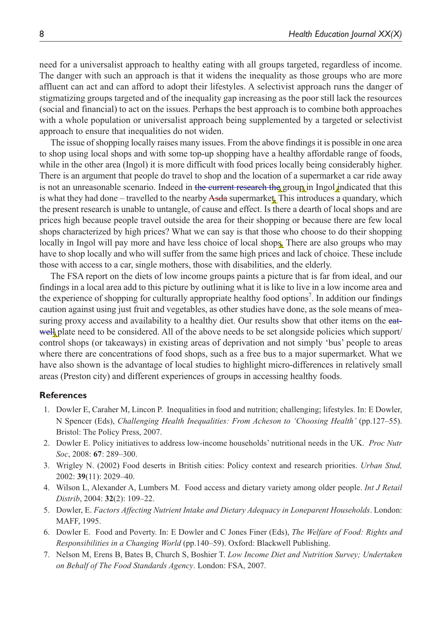need for a universalist approach to healthy eating with all groups targeted, regardless of income. The danger with such an approach is that it widens the inequality as those groups who are more affluent can act and can afford to adopt their lifestyles. A selectivist approach runs the danger of stigmatizing groups targeted and of the inequality gap increasing as the poor still lack the resources (social and financial) to act on the issues. Perhaps the best approach is to combine both approaches with a whole population or universalist approach being supplemented by a targeted or selectivist approach to ensure that inequalities do not widen.

The issue of shopping locally raises many issues. From the above findings it is possible in one area to shop using local shops and with some top-up shopping have a healthy affordable range of foods, while in the other area (Ingol) it is more difficult with food prices locally being considerably higher. There is an argument that people do travel to shop and the location of a supermarket a car ride away is not an unreasonable scenario. Indeed in the current research the group in Ingol indicated that this is what they had done – travelled to the nearby Asda supermarket. This introduces a quandary, which the present research is unable to untangle, of cause and effect. Is there a dearth of local shops and are prices high because people travel outside the area for their shopping or because there are few local shops characterized by high prices? What we can say is that those who choose to do their shopping locally in Ingol will pay more and have less choice of local shops. There are also groups who may have to shop locally and who will suffer from the same high prices and lack of choice. These include those with access to a car, single mothers, those with disabilities, and the elderly.

The FSA report on the diets of low income groups paints a picture that is far from ideal, and our findings in a local area add to this picture by outlining what it is like to live in a low income area and the experience of shopping for culturally appropriate healthy food options<sup>7</sup>. In addition our findings caution against using just fruit and vegetables, as other studies have done, as the sole means of measuring proxy access and availability to a healthy diet. Our results show that other items on the eatwell plate need to be considered. All of the above needs to be set alongside policies which support/ control shops (or takeaways) in existing areas of deprivation and not simply 'bus' people to areas where there are concentrations of food shops, such as a free bus to a major supermarket. What we have also shown is the advantage of local studies to highlight micro-differences in relatively small areas (Preston city) and different experiences of groups in accessing healthy foods.

#### **References**

- 1. Dowler E, Caraher M, Lincon P. Inequalities in food and nutrition; challenging; lifestyles. In: E Dowler, N Spencer (Eds), *Challenging Health Inequalities: From Acheson to 'Choosing Health'* (pp.127–55). Bristol: The Policy Press, 2007.
- 2. Dowler E. Policy initiatives to address low-income households' nutritional needs in the UK. *Proc Nutr Soc*, 2008: **67**: 289–300.
- 3. Wrigley N. (2002) Food deserts in British cities: Policy context and research priorities. *Urban Stud,* 2002: **39**(11): 2029–40.
- 4. Wilson L, Alexander A, Lumbers M. Food access and dietary variety among older people. *Int J Retail Distrib*, 2004: **32**(2): 109–22.
- 5. Dowler, E. *Factors Affecting Nutrient Intake and Dietary Adequacy in Loneparent Households*. London: MAFF, 1995.
- 6. Dowler E. Food and Poverty. In: E Dowler and C Jones Finer (Eds), *The Welfare of Food: Rights and Responsibilities in a Changing World* (pp.140–59). Oxford: Blackwell Publishing.
- 7. Nelson M, Erens B, Bates B, Church S, Boshier T. *Low Income Diet and Nutrition Survey; Undertaken on Behalf of The Food Standards Agency*. London: FSA, 2007.